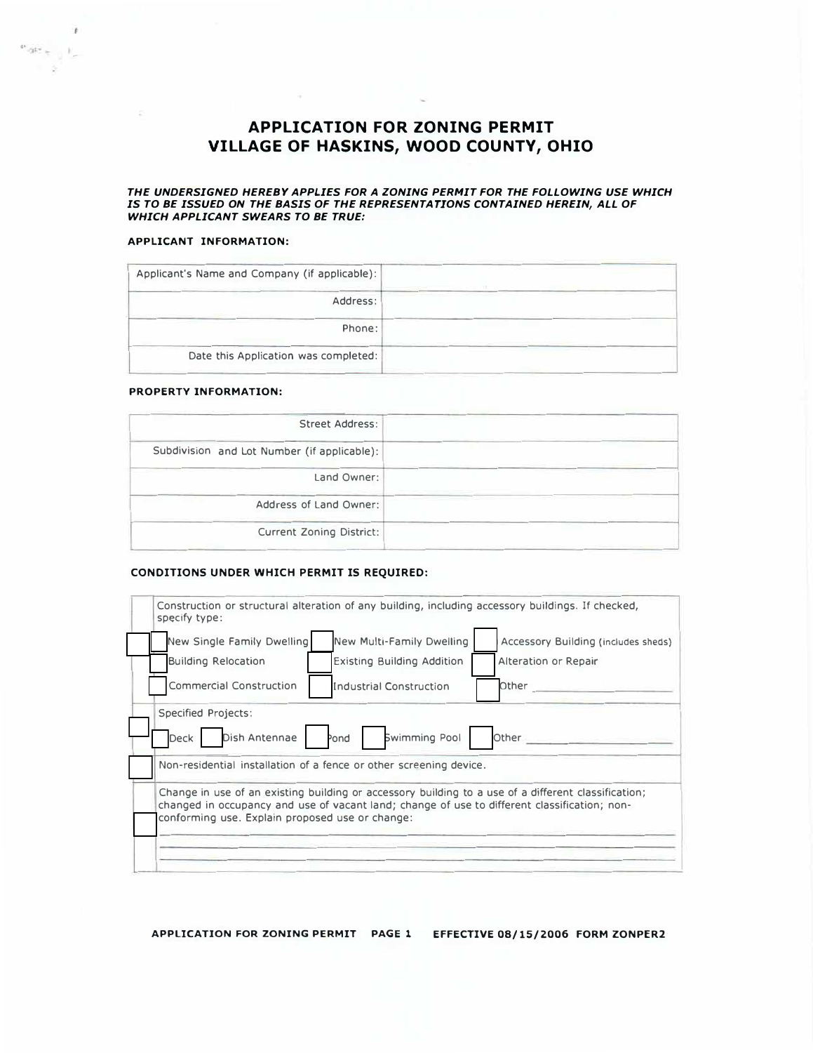### **APPLICATION FOR ZONING PERMIT VILLAGE OF HASKINS, WOOD COUNTY, OHIO**

 $\sim$ 

*THE UNDERSIGNED HEREBY APPLIES FOR A ZONING PERMIT FOR THE FOLLOWING USE WHICH IS TO BE ISSUED ON THE BASIS OF THE REPRESENTATIONS CONTAINED HEREIN, ALL OF WHICH APPLICANT SWEARS TO BE TRUE:* 

#### **APPLICANT INFORMATION:**

 $\frac{\partial \mathcal{M}}{\partial \mathcal{M}} = \frac{1}{\mathcal{M}}$ 

- 9

| Applicant's Name and Company (if applicable): |
|-----------------------------------------------|
| Address:                                      |
| Phone:                                        |
| Date this Application was completed:          |

#### **PROPERTY INFORMATION:**

| Street Address:                             |
|---------------------------------------------|
| Subdivision and Lot Number (if applicable): |
| Land Owner:                                 |
| Address of Land Owner:                      |
| Current Zoning District:                    |

#### **CONDITIONS UNDER WHICH PERMIT IS REQUIRED:**

| New Single Family Dwelling                                                                   | New Multi-Family Dwelling                       | Accessory Building (includes sheds)                                                                 |
|----------------------------------------------------------------------------------------------|-------------------------------------------------|-----------------------------------------------------------------------------------------------------|
| <b>Building Relocation</b>                                                                   | <b>Existing Building Addition</b>               | Alteration or Repair                                                                                |
| <b>Commercial Construction</b>                                                               | <b>Industrial Construction</b>                  | Other                                                                                               |
| Non-residential installation of a fence or other screening device.                           |                                                 |                                                                                                     |
| changed in occupancy and use of vacant land; change of use to different classification; non- |                                                 | Change in use of an existing building or accessory building to a use of a different classification; |
|                                                                                              | conforming use. Explain proposed use or change: |                                                                                                     |

**APPLICATION FOR ZONING PERMIT PAGE 1 EFFECTIVE 08/15/2006 FORM ZONPER2**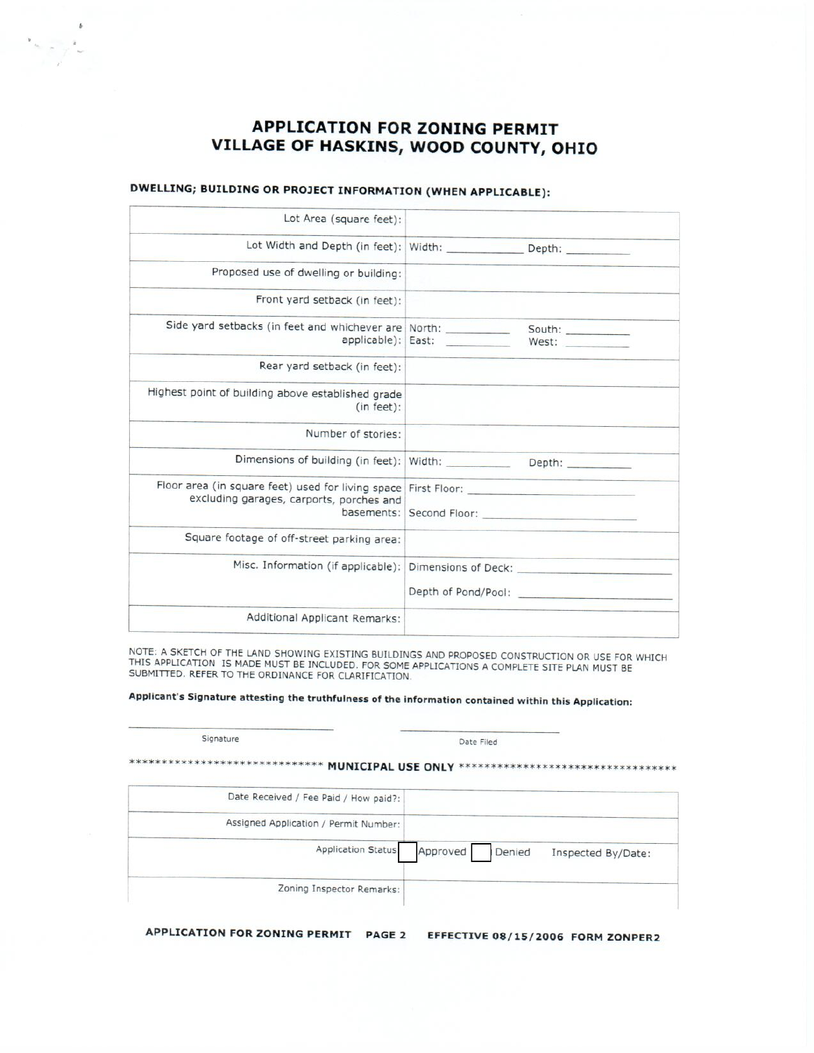# **APPLICATION FOR ZONING PERMIT** VILLAGE OF HASKINS, WOOD COUNTY, OHIO

## DWELLING; BUILDING OR PROJECT INFORMATION (WHEN APPLICABLE):

 $\frac{1}{2}$ 

| Lot Area (square feet):                                                                                                       |                                             |
|-------------------------------------------------------------------------------------------------------------------------------|---------------------------------------------|
|                                                                                                                               |                                             |
| Proposed use of dwelling or building:                                                                                         |                                             |
| Front yard setback (in feet):                                                                                                 |                                             |
| applicable): East:                                                                                                            | West:<br>New York Concert Committee Concert |
| Rear yard setback (in feet):                                                                                                  |                                             |
| Highest point of building above established grade<br>(in feet):                                                               |                                             |
| Number of stories:                                                                                                            |                                             |
|                                                                                                                               |                                             |
| Floor area (in square feet) used for living space First Floor: __________________<br>excluding garages, carports, porches and |                                             |
| Square footage of off-street parking area:                                                                                    |                                             |
| Misc. Information (if applicable):                                                                                            |                                             |
| Additional Applicant Remarks:                                                                                                 |                                             |

NOTE: A SKETCH OF THE LAND SHOWING EXISTING BUILDINGS AND PROPOSED CONSTRUCTION OR USE FOR WHICH THIS APPLICATION IS MADE MUST BE INCLUDED. FOR SOME APPLICATIONS A COMPLETE SITE PLAN MUST BE<br>SUBMITTED. REFER TO THE ORDINANCE FOR CLARIFICATION.

## Applicant's Signature attesting the truthfulness of the information contained within this Application:

| Date Filed         | Signature                             |
|--------------------|---------------------------------------|
| *********          | <b>MUNICIPAL USE ONLY **</b>          |
|                    | Date Received / Fee Paid / How paid?: |
|                    | Assigned Application / Permit Number: |
| Approved<br>Denied | Application Status:                   |
|                    | Zoning Inspector Remarks:             |
|                    |                                       |

APPLICATION FOR ZONING PERMIT PAGE 2 EFFECTIVE 08/15/2006 FORM ZONPER2